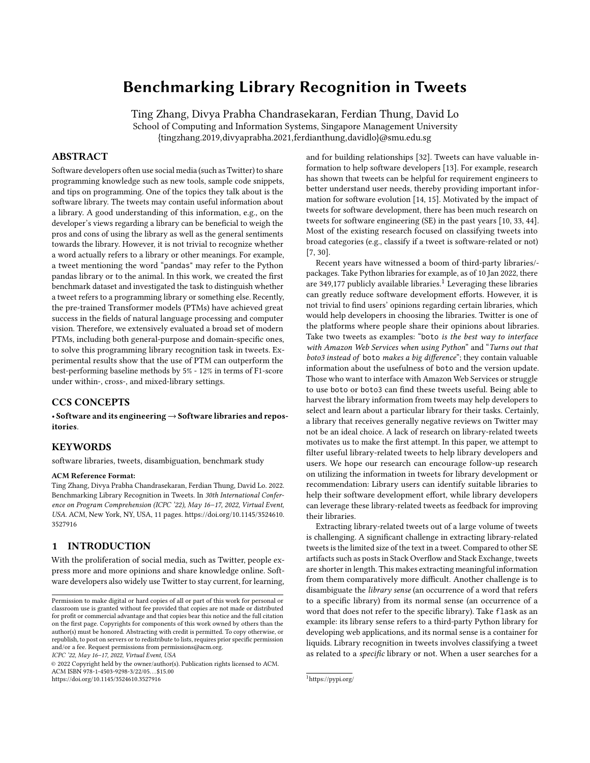# Benchmarking Library Recognition in Tweets

Ting Zhang, Divya Prabha Chandrasekaran, Ferdian Thung, David Lo School of Computing and Information Systems, Singapore Management University {tingzhang.2019,divyaprabha.2021,ferdianthung,davidlo}@smu.edu.sg

# ABSTRACT

Software developers often use social media (such as Twitter) to share programming knowledge such as new tools, sample code snippets, and tips on programming. One of the topics they talk about is the software library. The tweets may contain useful information about a library. A good understanding of this information, e.g., on the developer's views regarding a library can be beneficial to weigh the pros and cons of using the library as well as the general sentiments towards the library. However, it is not trivial to recognize whether a word actually refers to a library or other meanings. For example, a tweet mentioning the word "pandas" may refer to the Python pandas library or to the animal. In this work, we created the first benchmark dataset and investigated the task to distinguish whether a tweet refers to a programming library or something else. Recently, the pre-trained Transformer models (PTMs) have achieved great success in the fields of natural language processing and computer vision. Therefore, we extensively evaluated a broad set of modern PTMs, including both general-purpose and domain-specific ones, to solve this programming library recognition task in tweets. Experimental results show that the use of PTM can outperform the best-performing baseline methods by 5% - 12% in terms of F1-score under within-, cross-, and mixed-library settings.

### CCS CONCEPTS

• Software and its engineering→Software libraries and repositories.

#### KEYWORDS

software libraries, tweets, disambiguation, benchmark study

#### ACM Reference Format:

Ting Zhang, Divya Prabha Chandrasekaran, Ferdian Thung, David Lo. 2022. Benchmarking Library Recognition in Tweets. In 30th International Conference on Program Comprehension (ICPC '22), May 16–17, 2022, Virtual Event, USA. ACM, New York, NY, USA, 11 pages. https://doi.org/10.1145/3524610. 3527916

# 1 INTRODUCTION

With the proliferation of social media, such as Twitter, people express more and more opinions and share knowledge online. Software developers also widely use Twitter to stay current, for learning,

ICPC '22, May 16–17, 2022, Virtual Event, USA

© 2022 Copyright held by the owner/author(s). Publication rights licensed to ACM. ACM ISBN 978-1-4503-9298-3/22/05. . . \$15.00 https://doi.org/10.1145/3524610.3527916

and for building relationships [32]. Tweets can have valuable information to help software developers [13]. For example, research has shown that tweets can be helpful for requirement engineers to better understand user needs, thereby providing important information for software evolution [14, 15]. Motivated by the impact of tweets for software development, there has been much research on tweets for software engineering (SE) in the past years [10, 33, 44]. Most of the existing research focused on classifying tweets into broad categories (e.g., classify if a tweet is software-related or not) [7, 30].

Recent years have witnessed a boom of third-party libraries/ packages. Take Python libraries for example, as of 10 Jan 2022, there are 349,177 publicly available libraries.<sup>1</sup> Leveraging these libraries can greatly reduce software development efforts. However, it is not trivial to find users' opinions regarding certain libraries, which would help developers in choosing the libraries. Twitter is one of the platforms where people share their opinions about libraries. Take two tweets as examples: "boto is the best way to interface with Amazon Web Services when using Python" and "Turns out that boto3 instead of boto makes a big difference"; they contain valuable information about the usefulness of boto and the version update. Those who want to interface with Amazon Web Services or struggle to use boto or boto3 can find these tweets useful. Being able to harvest the library information from tweets may help developers to select and learn about a particular library for their tasks. Certainly, a library that receives generally negative reviews on Twitter may not be an ideal choice. A lack of research on library-related tweets motivates us to make the first attempt. In this paper, we attempt to filter useful library-related tweets to help library developers and users. We hope our research can encourage follow-up research on utilizing the information in tweets for library development or recommendation: Library users can identify suitable libraries to help their software development effort, while library developers can leverage these library-related tweets as feedback for improving their libraries.

Extracting library-related tweets out of a large volume of tweets is challenging. A significant challenge in extracting library-related tweets is the limited size of the text in a tweet. Compared to other SE artifacts such as posts in Stack Overflow and Stack Exchange, tweets are shorter in length. This makes extracting meaningful information from them comparatively more difficult. Another challenge is to disambiguate the library sense (an occurrence of a word that refers to a specific library) from its normal sense (an occurrence of a word that does not refer to the specific library). Take flask as an example: its library sense refers to a third-party Python library for developing web applications, and its normal sense is a container for liquids. Library recognition in tweets involves classifying a tweet as related to a specific library or not. When a user searches for a

Permission to make digital or hard copies of all or part of this work for personal or classroom use is granted without fee provided that copies are not made or distributed for profit or commercial advantage and that copies bear this notice and the full citation on the first page. Copyrights for components of this work owned by others than the author(s) must be honored. Abstracting with credit is permitted. To copy otherwise, or republish, to post on servers or to redistribute to lists, requires prior specific permission and/or a fee. Request permissions from permissions@acm.org.

<sup>1</sup>https://pypi.org/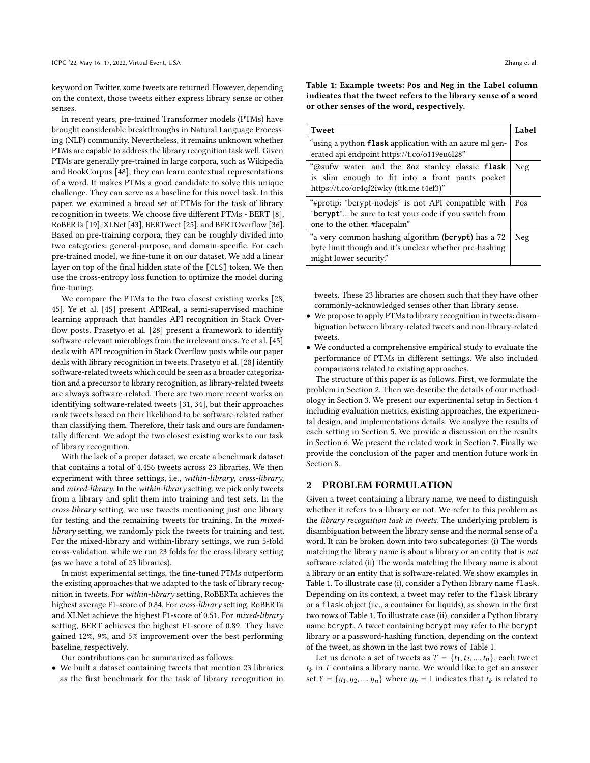keyword on Twitter, some tweets are returned. However, depending on the context, those tweets either express library sense or other senses.

In recent years, pre-trained Transformer models (PTMs) have brought considerable breakthroughs in Natural Language Processing (NLP) community. Nevertheless, it remains unknown whether PTMs are capable to address the library recognition task well. Given PTMs are generally pre-trained in large corpora, such as Wikipedia and BookCorpus [48], they can learn contextual representations of a word. It makes PTMs a good candidate to solve this unique challenge. They can serve as a baseline for this novel task. In this paper, we examined a broad set of PTMs for the task of library recognition in tweets. We choose five different PTMs - BERT [8], RoBERTa [19], XLNet [43], BERTweet [25], and BERTOverflow [36]. Based on pre-training corpora, they can be roughly divided into two categories: general-purpose, and domain-specific. For each pre-trained model, we fine-tune it on our dataset. We add a linear layer on top of the final hidden state of the [CLS] token. We then use the cross-entropy loss function to optimize the model during fine-tuning.

We compare the PTMs to the two closest existing works [28, 45]. Ye et al. [45] present APIReal, a semi-supervised machine learning approach that handles API recognition in Stack Overflow posts. Prasetyo et al. [28] present a framework to identify software-relevant microblogs from the irrelevant ones. Ye et al. [45] deals with API recognition in Stack Overflow posts while our paper deals with library recognition in tweets. Prasetyo et al. [28] identify software-related tweets which could be seen as a broader categorization and a precursor to library recognition, as library-related tweets are always software-related. There are two more recent works on identifying software-related tweets [31, 34], but their approaches rank tweets based on their likelihood to be software-related rather than classifying them. Therefore, their task and ours are fundamentally different. We adopt the two closest existing works to our task of library recognition.

With the lack of a proper dataset, we create a benchmark dataset that contains a total of 4,456 tweets across 23 libraries. We then experiment with three settings, i.e., within-library, cross-library, and mixed-library. In the within-library setting, we pick only tweets from a library and split them into training and test sets. In the cross-library setting, we use tweets mentioning just one library for testing and the remaining tweets for training. In the mixedlibrary setting, we randomly pick the tweets for training and test. For the mixed-library and within-library settings, we run 5-fold cross-validation, while we run 23 folds for the cross-library setting (as we have a total of 23 libraries).

In most experimental settings, the fine-tuned PTMs outperform the existing approaches that we adapted to the task of library recognition in tweets. For within-library setting, RoBERTa achieves the highest average F1-score of 0.84. For cross-library setting, RoBERTa and XLNet achieve the highest F1-score of 0.51. For mixed-library setting, BERT achieves the highest F1-score of 0.89. They have gained 12%, 9%, and 5% improvement over the best performing baseline, respectively.

Our contributions can be summarized as follows:

• We built a dataset containing tweets that mention 23 libraries as the first benchmark for the task of library recognition in Table 1: Example tweets: **Pos** and **Neg** in the Label column indicates that the tweet refers to the library sense of a word or other senses of the word, respectively.

| <b>Tweet</b>                                            | Label |
|---------------------------------------------------------|-------|
| "using a python flask application with an azure ml gen- | Pos   |
| erated api endpoint https://t.co/o119eu6l28"            |       |
| "@sufw water. and the 80z stanley classic flask         | Neg   |
| is slim enough to fit into a front pants pocket         |       |
| https://t.co/or4qf2iwky (ttk.me t4ef3)"                 |       |
| "#protip: "bcrypt-nodejs" is not API compatible with    | Pos   |
| "bcrypt" be sure to test your code if you switch from   |       |
| one to the other. #facepalm"                            |       |
| "a very common hashing algorithm (bcrypt) has a 72      | Neg   |
| byte limit though and it's unclear whether pre-hashing  |       |
| might lower security."                                  |       |

tweets. These 23 libraries are chosen such that they have other commonly-acknowledged senses other than library sense.

- We propose to apply PTMs to library recognition in tweets: disambiguation between library-related tweets and non-library-related tweets.
- We conducted a comprehensive empirical study to evaluate the performance of PTMs in different settings. We also included comparisons related to existing approaches.

The structure of this paper is as follows. First, we formulate the problem in Section 2. Then we describe the details of our methodology in Section 3. We present our experimental setup in Section 4 including evaluation metrics, existing approaches, the experimental design, and implementations details. We analyze the results of each setting in Section 5. We provide a discussion on the results in Section 6. We present the related work in Section 7. Finally we provide the conclusion of the paper and mention future work in Section 8.

#### 2 PROBLEM FORMULATION

Given a tweet containing a library name, we need to distinguish whether it refers to a library or not. We refer to this problem as the library recognition task in tweets. The underlying problem is disambiguation between the library sense and the normal sense of a word. It can be broken down into two subcategories: (i) The words matching the library name is about a library or an entity that is not software-related (ii) The words matching the library name is about a library or an entity that is software-related. We show examples in Table 1. To illustrate case (i), consider a Python library name flask. Depending on its context, a tweet may refer to the flask library or a flask object (i.e., a container for liquids), as shown in the first two rows of Table 1. To illustrate case (ii), consider a Python library name bcrypt. A tweet containing bcrypt may refer to the bcrypt library or a password-hashing function, depending on the context of the tweet, as shown in the last two rows of Table 1.

Let us denote a set of tweets as  $T = \{t_1, t_2, ..., t_n\}$ , each tweet  $t_k$  in  $T$  contains a library name. We would like to get an answer set  $Y = \{y_1, y_2, ..., y_n\}$  where  $y_k = 1$  indicates that  $t_k$  is related to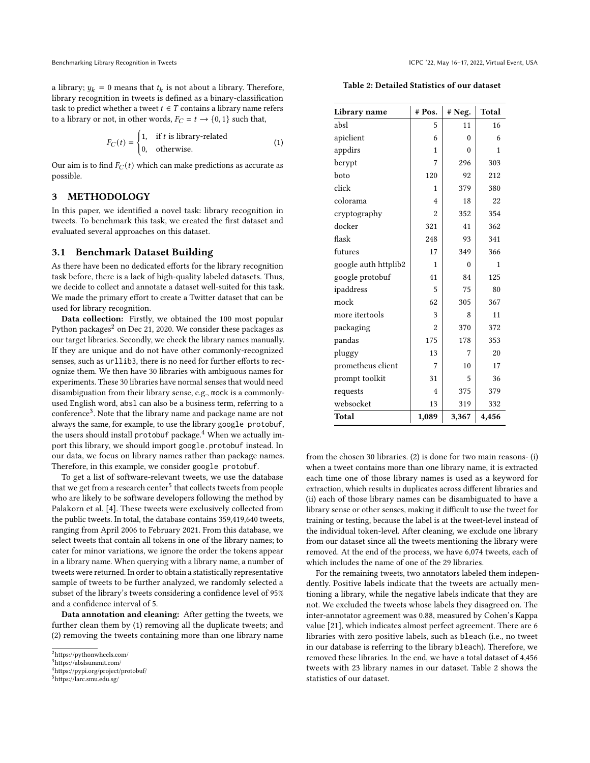a library;  $y_k = 0$  means that  $t_k$  is not about a library. Therefore, library recognition in tweets is defined as a binary-classification task to predict whether a tweet  $t \in T$  contains a library name refers to a library or not, in other words,  $F_C = t \rightarrow \{0, 1\}$  such that,

$$
F_C(t) = \begin{cases} 1, & \text{if } t \text{ is library-related} \\ 0, & \text{otherwise.} \end{cases}
$$
 (1)

Our aim is to find  $F_C(t)$  which can make predictions as accurate as possible.

# 3 METHODOLOGY

In this paper, we identified a novel task: library recognition in tweets. To benchmark this task, we created the first dataset and evaluated several approaches on this dataset.

#### 3.1 Benchmark Dataset Building

As there have been no dedicated efforts for the library recognition task before, there is a lack of high-quality labeled datasets. Thus, we decide to collect and annotate a dataset well-suited for this task. We made the primary effort to create a Twitter dataset that can be used for library recognition.

Data collection: Firstly, we obtained the 100 most popular Python packages<sup>2</sup> on Dec 21, 2020. We consider these packages as our target libraries. Secondly, we check the library names manually. If they are unique and do not have other commonly-recognized senses, such as urllib3, there is no need for further efforts to recognize them. We then have 30 libraries with ambiguous names for experiments. These 30 libraries have normal senses that would need disambiguation from their library sense, e.g., mock is a commonlyused English word, absl can also be a business term, referring to a conference<sup>3</sup>. Note that the library name and package name are not always the same, for example, to use the library google protobuf, the users should install protobuf package.<sup>4</sup> When we actually import this library, we should import google.protobuf instead. In our data, we focus on library names rather than package names. Therefore, in this example, we consider google protobuf.

To get a list of software-relevant tweets, we use the database that we get from a research center<sup>5</sup> that collects tweets from people who are likely to be software developers following the method by Palakorn et al. [4]. These tweets were exclusively collected from the public tweets. In total, the database contains 359,419,640 tweets, ranging from April 2006 to February 2021. From this database, we select tweets that contain all tokens in one of the library names; to cater for minor variations, we ignore the order the tokens appear in a library name. When querying with a library name, a number of tweets were returned. In order to obtain a statistically representative sample of tweets to be further analyzed, we randomly selected a subset of the library's tweets considering a confidence level of 95% and a confidence interval of 5.

Data annotation and cleaning: After getting the tweets, we further clean them by (1) removing all the duplicate tweets; and (2) removing the tweets containing more than one library name

| Library name         | # Pos.         | # Neg.   | <b>Total</b> |
|----------------------|----------------|----------|--------------|
| absl                 | 5              | 11       | 16           |
| apiclient            | 6              | 0        | 6            |
| appdirs              | 1              | $\Omega$ | 1            |
| bcrypt               | 7              | 296      | 303          |
| boto                 | 120            | 92       | 212          |
| click                | 1              | 379      | 380          |
| colorama             | 4              | 18       | 22           |
| cryptography         | $\overline{a}$ | 352      | 354          |
| docker               | 321            | 41       | 362          |
| flask                | 248            | 93       | 341          |
| futures              | 17             | 349      | 366          |
| google auth httplib2 | 1              | $\theta$ | 1            |
| google protobuf      | 41             | 84       | 125          |
| ipaddress            | 5              | 75       | 80           |
| mock                 | 62             | 305      | 367          |
| more itertools       | 3              | 8        | 11           |
| packaging            | $\overline{2}$ | 370      | 372          |
| pandas               | 175            | 178      | 353          |
| pluggy               | 13             | 7        | 20           |
| prometheus client    | 7              | 10       | 17           |
| prompt toolkit       | 31             | 5        | 36           |
| requests             | $\overline{4}$ | 375      | 379          |
| websocket            | 13             | 319      | 332          |
| <b>Total</b>         | 1,089          | 3,367    | 4,456        |

from the chosen 30 libraries. (2) is done for two main reasons- (i) when a tweet contains more than one library name, it is extracted each time one of those library names is used as a keyword for extraction, which results in duplicates across different libraries and (ii) each of those library names can be disambiguated to have a library sense or other senses, making it difficult to use the tweet for training or testing, because the label is at the tweet-level instead of the individual token-level. After cleaning, we exclude one library from our dataset since all the tweets mentioning the library were removed. At the end of the process, we have 6,074 tweets, each of which includes the name of one of the 29 libraries.

For the remaining tweets, two annotators labeled them independently. Positive labels indicate that the tweets are actually mentioning a library, while the negative labels indicate that they are not. We excluded the tweets whose labels they disagreed on. The inter-annotator agreement was 0.88, measured by Cohen's Kappa value [21], which indicates almost perfect agreement. There are 6 libraries with zero positive labels, such as bleach (i.e., no tweet in our database is referring to the library bleach). Therefore, we removed these libraries. In the end, we have a total dataset of 4,456 tweets with 23 library names in our dataset. Table 2 shows the statistics of our dataset.

<sup>2</sup>https://pythonwheels.com/

<sup>3</sup>https://abslsummit.com/

<sup>4</sup>https://pypi.org/project/protobuf/

<sup>5</sup>https://larc.smu.edu.sg/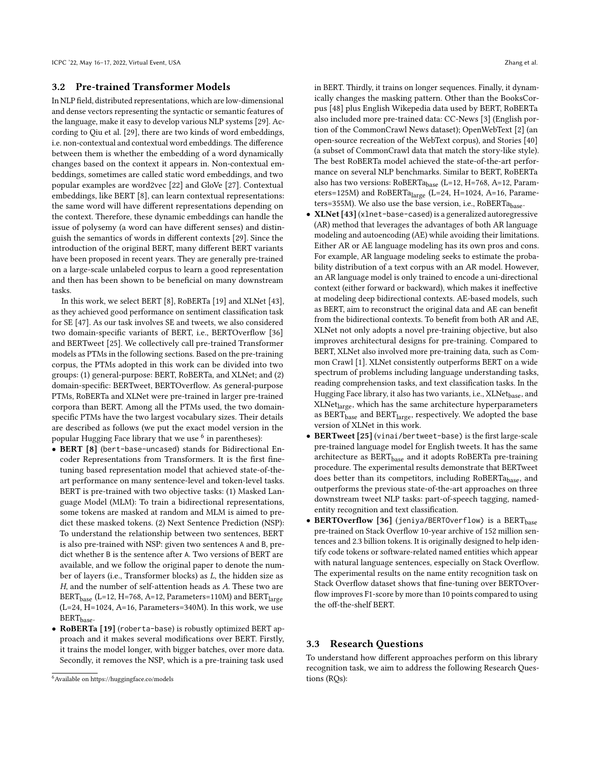### 3.2 Pre-trained Transformer Models

In NLP field, distributed representations, which are low-dimensional and dense vectors representing the syntactic or semantic features of the language, make it easy to develop various NLP systems [29]. According to Qiu et al. [29], there are two kinds of word embeddings, i.e. non-contextual and contextual word embeddings. The difference between them is whether the embedding of a word dynamically changes based on the context it appears in. Non-contextual embeddings, sometimes are called static word embeddings, and two popular examples are word2vec [22] and GloVe [27]. Contextual embeddings, like BERT [8], can learn contextual representations: the same word will have different representations depending on the context. Therefore, these dynamic embeddings can handle the issue of polysemy (a word can have different senses) and distinguish the semantics of words in different contexts [29]. Since the introduction of the original BERT, many different BERT variants have been proposed in recent years. They are generally pre-trained on a large-scale unlabeled corpus to learn a good representation and then has been shown to be beneficial on many downstream tasks.

In this work, we select BERT [8], RoBERTa [19] and XLNet [43], as they achieved good performance on sentiment classification task for SE [47]. As our task involves SE and tweets, we also considered two domain-specific variants of BERT, i.e., BERTOverflow [36] and BERTweet [25]. We collectively call pre-trained Transformer models as PTMs in the following sections. Based on the pre-training corpus, the PTMs adopted in this work can be divided into two groups: (1) general-purpose: BERT, RoBERTa, and XLNet; and (2) domain-specific: BERTweet, BERTOverflow. As general-purpose PTMs, RoBERTa and XLNet were pre-trained in larger pre-trained corpora than BERT. Among all the PTMs used, the two domainspecific PTMs have the two largest vocabulary sizes. Their details are described as follows (we put the exact model version in the popular Hugging Face library that we use  $^6$  in parentheses):

- BERT [8] (bert-base-uncased) stands for Bidirectional Encoder Representations from Transformers. It is the first finetuning based representation model that achieved state-of-theart performance on many sentence-level and token-level tasks. BERT is pre-trained with two objective tasks: (1) Masked Language Model (MLM): To train a bidirectional representations, some tokens are masked at random and MLM is aimed to predict these masked tokens. (2) Next Sentence Prediction (NSP): To understand the relationship between two sentences, BERT is also pre-trained with NSP: given two sentences A and B, predict whether B is the sentence after A. Two versions of BERT are available, and we follow the original paper to denote the number of layers (i.e., Transformer blocks) as L, the hidden size as H, and the number of self-attention heads as A. These two are BERT<sub>base</sub> (L=12, H=768, A=12, Parameters=110M) and BERT<sub>large</sub> (L=24, H=1024, A=16, Parameters=340M). In this work, we use  $\text{BERT}_{\text{base}}.$
- RoBERTa [19] (roberta-base) is robustly optimized BERT approach and it makes several modifications over BERT. Firstly, it trains the model longer, with bigger batches, over more data. Secondly, it removes the NSP, which is a pre-training task used

in BERT. Thirdly, it trains on longer sequences. Finally, it dynamically changes the masking pattern. Other than the BooksCorpus [48] plus English Wikepedia data used by BERT, RoBERTa also included more pre-trained data: CC-News [3] (English portion of the CommonCrawl News dataset); OpenWebText [2] (an open-source recreation of the WebText corpus), and Stories [40] (a subset of CommonCrawl data that match the story-like style). The best RoBERTa model achieved the state-of-the-art performance on several NLP benchmarks. Similar to BERT, RoBERTa also has two versions:  $RoBERTa<sub>base</sub>$  (L=12, H=768, A=12, Parameters=125M) and RoBERTa<sub>large</sub> (L=24, H=1024, A=16, Parameters=355M). We also use the base version, i.e., RoBERTa<sub>base</sub>.

- XLNet [43] (xlnet-base-cased) is a generalized autoregressive (AR) method that leverages the advantages of both AR language modeling and autoencoding (AE) while avoiding their limitations. Either AR or AE language modeling has its own pros and cons. For example, AR language modeling seeks to estimate the probability distribution of a text corpus with an AR model. However, an AR language model is only trained to encode a uni-directional context (either forward or backward), which makes it ineffective at modeling deep bidirectional contexts. AE-based models, such as BERT, aim to reconstruct the original data and AE can benefit from the bidirectional contexts. To benefit from both AR and AE, XLNet not only adopts a novel pre-training objective, but also improves architectural designs for pre-training. Compared to BERT, XLNet also involved more pre-training data, such as Common Crawl [1]. XLNet consistently outperforms BERT on a wide spectrum of problems including language understanding tasks, reading comprehension tasks, and text classification tasks. In the Hugging Face library, it also has two variants, i.e., XLNet<sub>base</sub>, and XLNetlarge, which has the same architecture hyperparameters as BERT<sub>base</sub> and BERT<sub>large</sub>, respectively. We adopted the base version of XLNet in this work.
- BERTweet [25] (vinai/bertweet-base) is the first large-scale pre-trained language model for English tweets. It has the same architecture as BERT<sub>base</sub> and it adopts RoBERTa pre-training procedure. The experimental results demonstrate that BERTweet does better than its competitors, including RoBERTa<sub>base</sub>, and outperforms the previous state-of-the-art approaches on three downstream tweet NLP tasks: part-of-speech tagging, namedentity recognition and text classification.
- BERTOverflow [36] (jeniya/BERTOverflow) is a BERT $_{\text{base}}$ pre-trained on Stack Overflow 10-year archive of 152 million sentences and 2.3 billion tokens. It is originally designed to help identify code tokens or software-related named entities which appear with natural language sentences, especially on Stack Overflow. The experimental results on the name entity recognition task on Stack Overflow dataset shows that fine-tuning over BERTOverflow improves F1-score by more than 10 points compared to using the off-the-shelf BERT.

# 3.3 Research Questions

To understand how different approaches perform on this library recognition task, we aim to address the following Research Questions (RQs):

<sup>6</sup>Available on https://huggingface.co/models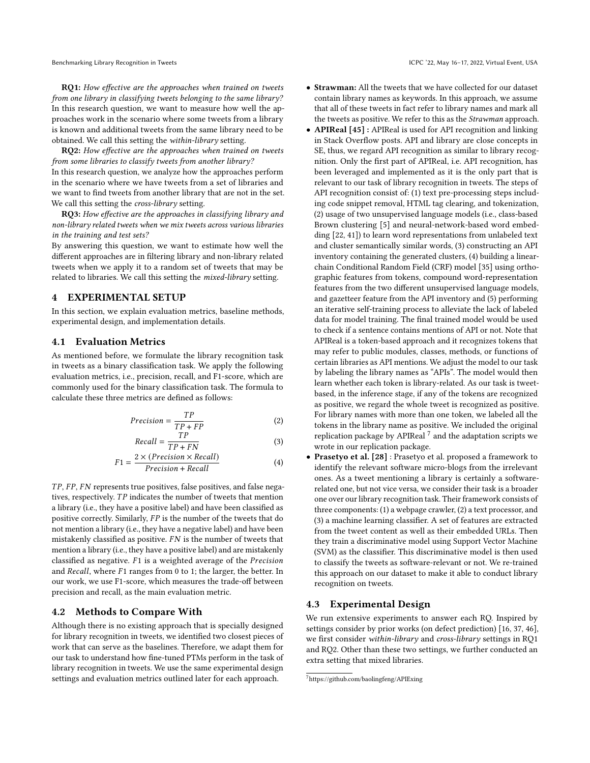RQ1: How effective are the approaches when trained on tweets from one library in classifying tweets belonging to the same library? In this research question, we want to measure how well the approaches work in the scenario where some tweets from a library is known and additional tweets from the same library need to be obtained. We call this setting the within-library setting.

RQ2: How effective are the approaches when trained on tweets from some libraries to classify tweets from another library? In this research question, we analyze how the approaches perform in the scenario where we have tweets from a set of libraries and we want to find tweets from another library that are not in the set. We call this setting the *cross-library* setting.

RQ3: How effective are the approaches in classifying library and non-library related tweets when we mix tweets across various libraries in the training and test sets?

By answering this question, we want to estimate how well the different approaches are in filtering library and non-library related tweets when we apply it to a random set of tweets that may be related to libraries. We call this setting the mixed-library setting.

# **EXPERIMENTAL SETUP**

In this section, we explain evaluation metrics, baseline methods, experimental design, and implementation details.

### 4.1 Evaluation Metrics

As mentioned before, we formulate the library recognition task in tweets as a binary classification task. We apply the following evaluation metrics, i.e., precision, recall, and F1-score, which are commonly used for the binary classification task. The formula to calculate these three metrics are defined as follows:

$$
Precision = \frac{TP}{TP + FP}
$$
 (2)

$$
Recall = \frac{TP}{TP + FN}
$$
 (3)

$$
F1 = \frac{2 \times (Precision \times Recall)}{Precision + Recall}
$$
 (4)

TP, FP, FN represents true positives, false positives, and false negatives, respectively.  $TP$  indicates the number of tweets that mention a library (i.e., they have a positive label) and have been classified as positive correctly. Similarly,  $FP$  is the number of the tweets that do not mention a library (i.e., they have a negative label) and have been mistakenly classified as positive.  $FN$  is the number of tweets that mention a library (i.e., they have a positive label) and are mistakenly classified as negative.  $F1$  is a weighted average of the Precision and Recall, where  $F1$  ranges from 0 to 1; the larger, the better. In our work, we use F1-score, which measures the trade-off between precision and recall, as the main evaluation metric.

### 4.2 Methods to Compare With

Although there is no existing approach that is specially designed for library recognition in tweets, we identified two closest pieces of work that can serve as the baselines. Therefore, we adapt them for our task to understand how fine-tuned PTMs perform in the task of library recognition in tweets. We use the same experimental design settings and evaluation metrics outlined later for each approach.

- APIReal [45] : APIReal is used for API recognition and linking in Stack Overflow posts. API and library are close concepts in SE, thus, we regard API recognition as similar to library recognition. Only the first part of APIReal, i.e. API recognition, has been leveraged and implemented as it is the only part that is relevant to our task of library recognition in tweets. The steps of API recognition consist of: (1) text pre-processing steps including code snippet removal, HTML tag clearing, and tokenization, (2) usage of two unsupervised language models (i.e., class-based Brown clustering [5] and neural-network-based word embedding [22, 41]) to learn word representations from unlabeled text and cluster semantically similar words, (3) constructing an API inventory containing the generated clusters, (4) building a linearchain Conditional Random Field (CRF) model [35] using orthographic features from tokens, compound word-representation features from the two different unsupervised language models, and gazetteer feature from the API inventory and (5) performing an iterative self-training process to alleviate the lack of labeled data for model training. The final trained model would be used to check if a sentence contains mentions of API or not. Note that APIReal is a token-based approach and it recognizes tokens that may refer to public modules, classes, methods, or functions of certain libraries as API mentions. We adjust the model to our task by labeling the library names as "APIs". The model would then learn whether each token is library-related. As our task is tweetbased, in the inference stage, if any of the tokens are recognized as positive, we regard the whole tweet is recognized as positive. For library names with more than one token, we labeled all the tokens in the library name as positive. We included the original replication package by APIReal  $^7$  and the adaptation scripts we wrote in our replication package.
- Prasetyo et al. [28] : Prasetyo et al. proposed a framework to identify the relevant software micro-blogs from the irrelevant ones. As a tweet mentioning a library is certainly a softwarerelated one, but not vice versa, we consider their task is a broader one over our library recognition task. Their framework consists of three components: (1) a webpage crawler, (2) a text processor, and (3) a machine learning classifier. A set of features are extracted from the tweet content as well as their embedded URLs. Then they train a discriminative model using Support Vector Machine (SVM) as the classifier. This discriminative model is then used to classify the tweets as software-relevant or not. We re-trained this approach on our dataset to make it able to conduct library recognition on tweets.

# 4.3 Experimental Design

We run extensive experiments to answer each RQ. Inspired by settings consider by prior works (on defect prediction) [16, 37, 46], we first consider within-library and cross-library settings in RQ1 and RQ2. Other than these two settings, we further conducted an extra setting that mixed libraries.

<sup>7</sup>https://github.com/baolingfeng/APIExing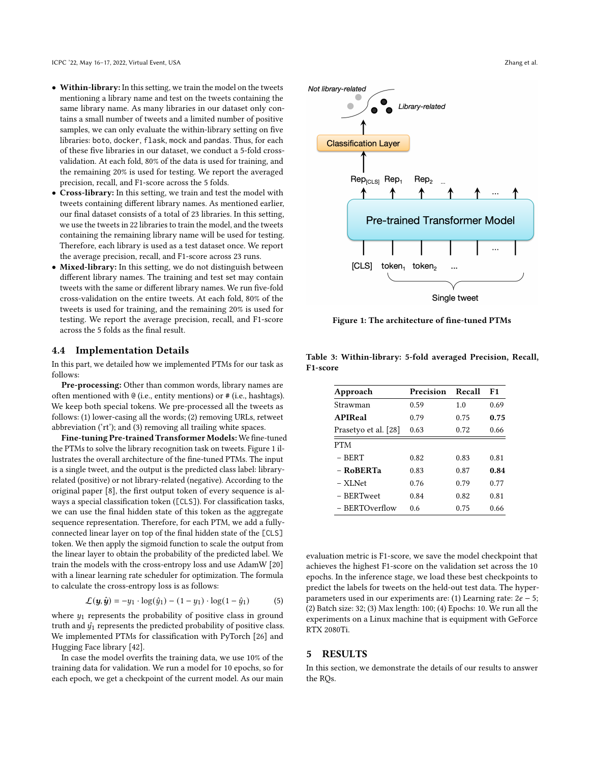- Within-library: In this setting, we train the model on the tweets mentioning a library name and test on the tweets containing the same library name. As many libraries in our dataset only contains a small number of tweets and a limited number of positive samples, we can only evaluate the within-library setting on five libraries: boto, docker, flask, mock and pandas. Thus, for each of these five libraries in our dataset, we conduct a 5-fold crossvalidation. At each fold, 80% of the data is used for training, and the remaining 20% is used for testing. We report the averaged precision, recall, and F1-score across the 5 folds.
- Cross-library: In this setting, we train and test the model with tweets containing different library names. As mentioned earlier, our final dataset consists of a total of 23 libraries. In this setting, we use the tweets in 22 libraries to train the model, and the tweets containing the remaining library name will be used for testing. Therefore, each library is used as a test dataset once. We report the average precision, recall, and F1-score across 23 runs.
- Mixed-library: In this setting, we do not distinguish between different library names. The training and test set may contain tweets with the same or different library names. We run five-fold cross-validation on the entire tweets. At each fold, 80% of the tweets is used for training, and the remaining 20% is used for testing. We report the average precision, recall, and F1-score across the 5 folds as the final result.

#### 4.4 Implementation Details

In this part, we detailed how we implemented PTMs for our task as follows:

Pre-processing: Other than common words, library names are often mentioned with @ (i.e., entity mentions) or # (i.e., hashtags). We keep both special tokens. We pre-processed all the tweets as follows: (1) lower-casing all the words; (2) removing URLs, retweet abbreviation ('rt'); and (3) removing all trailing white spaces.

Fine-tuning Pre-trained Transformer Models: We fine-tuned the PTMs to solve the library recognition task on tweets. Figure 1 illustrates the overall architecture of the fine-tuned PTMs. The input is a single tweet, and the output is the predicted class label: libraryrelated (positive) or not library-related (negative). According to the original paper [8], the first output token of every sequence is always a special classification token ([CLS]). For classification tasks, we can use the final hidden state of this token as the aggregate sequence representation. Therefore, for each PTM, we add a fullyconnected linear layer on top of the final hidden state of the [CLS] token. We then apply the sigmoid function to scale the output from the linear layer to obtain the probability of the predicted label. We train the models with the cross-entropy loss and use AdamW [20] with a linear learning rate scheduler for optimization. The formula to calculate the cross-entropy loss is as follows:

$$
\mathcal{L}(\mathbf{y}, \hat{\mathbf{y}}) = -y_1 \cdot \log(\hat{y}_1) - (1 - y_1) \cdot \log(1 - \hat{y}_1)
$$
 (5)

where  $y_1$  represents the probability of positive class in ground truth and  $\hat{y}_1$  represents the predicted probability of positive class. We implemented PTMs for classification with PyTorch [26] and Hugging Face library [42].

In case the model overfits the training data, we use 10% of the training data for validation. We run a model for 10 epochs, so for each epoch, we get a checkpoint of the current model. As our main



Figure 1: The architecture of fine-tuned PTMs

Table 3: Within-library: 5-fold averaged Precision, Recall, F1-score

| Approach             | Precision | Recall | F1   |
|----------------------|-----------|--------|------|
| Strawman             | 0.59      | 1.0    | 0.69 |
| <b>APIReal</b>       | 0.79      | 0.75   | 0.75 |
| Prasetyo et al. [28] | 0.63      | 0.72   | 0.66 |
| <b>PTM</b>           |           |        |      |
| – BERT               | 0.82      | 0.83   | 0.81 |
| - RoBERTa            | 0.83      | 0.87   | 0.84 |
| – XLNet              | 0.76      | 0.79   | 0.77 |
| - BERTweet           | 0.84      | 0.82   | 0.81 |
| – BERTOverflow       | 0.6       | 0.75   | 0.66 |

evaluation metric is F1-score, we save the model checkpoint that achieves the highest F1-score on the validation set across the 10 epochs. In the inference stage, we load these best checkpoints to predict the labels for tweets on the held-out test data. The hyperparameters used in our experiments are: (1) Learning rate:  $2e - 5$ ; (2) Batch size: 32; (3) Max length: 100; (4) Epochs: 10. We run all the experiments on a Linux machine that is equipment with GeForce RTX 2080Ti.

#### 5 RESULTS

In this section, we demonstrate the details of our results to answer the RQs.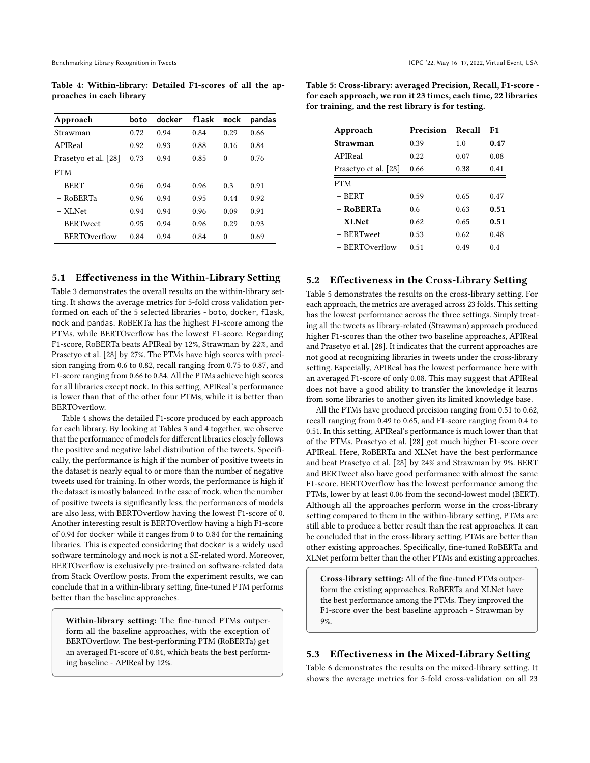Table 4: Within-library: Detailed F1-scores of all the approaches in each library

| Approach             | boto | docker | flask | mock     | pandas |
|----------------------|------|--------|-------|----------|--------|
| Strawman             | 0.72 | 0.94   | 0.84  | 0.29     | 0.66   |
| APIReal              | 0.92 | 0.93   | 0.88  | 0.16     | 0.84   |
| Prasetyo et al. [28] | 0.73 | 0.94   | 0.85  | $\theta$ | 0.76   |
| <b>PTM</b>           |      |        |       |          |        |
| $-$ BERT             | 0.96 | 0.94   | 0.96  | 0.3      | 0.91   |
| - RoBERTa            | 0.96 | 0.94   | 0.95  | 0.44     | 0.92   |
| - XLNet              | 0.94 | 0.94   | 0.96  | 0.09     | 0.91   |
| - BERTweet           | 0.95 | 0.94   | 0.96  | 0.29     | 0.93   |
| – BERTOverflow       | 0.84 | 0.94   | 0.84  | $\theta$ | 0.69   |

# 5.1 Effectiveness in the Within-Library Setting

Table 3 demonstrates the overall results on the within-library setting. It shows the average metrics for 5-fold cross validation performed on each of the 5 selected libraries - boto, docker, flask, mock and pandas. RoBERTa has the highest F1-score among the PTMs, while BERTOverflow has the lowest F1-score. Regarding F1-score, RoBERTa beats APIReal by 12%, Strawman by 22%, and Prasetyo et al. [28] by 27%. The PTMs have high scores with precision ranging from 0.6 to 0.82, recall ranging from 0.75 to 0.87, and F1-score ranging from 0.66 to 0.84. All the PTMs achieve high scores for all libraries except mock. In this setting, APIReal's performance is lower than that of the other four PTMs, while it is better than BERTOverflow.

Table 4 shows the detailed F1-score produced by each approach for each library. By looking at Tables 3 and 4 together, we observe that the performance of models for different libraries closely follows the positive and negative label distribution of the tweets. Specifically, the performance is high if the number of positive tweets in the dataset is nearly equal to or more than the number of negative tweets used for training. In other words, the performance is high if the dataset is mostly balanced. In the case of mock, when the number of positive tweets is significantly less, the performances of models are also less, with BERTOverflow having the lowest F1-score of 0. Another interesting result is BERTOverflow having a high F1-score of 0.94 for docker while it ranges from 0 to 0.84 for the remaining libraries. This is expected considering that docker is a widely used software terminology and mock is not a SE-related word. Moreover, BERTOverflow is exclusively pre-trained on software-related data from Stack Overflow posts. From the experiment results, we can conclude that in a within-library setting, fine-tuned PTM performs better than the baseline approaches.

Within-library setting: The fine-tuned PTMs outperform all the baseline approaches, with the exception of BERTOverflow. The best-performing PTM (RoBERTa) get an averaged F1-score of 0.84, which beats the best performing baseline - APIReal by 12%.

Table 5: Cross-library: averaged Precision, Recall, F1-score for each approach, we run it 23 times, each time, 22 libraries for training, and the rest library is for testing.

| Approach             | Precision | Recall | F1   |
|----------------------|-----------|--------|------|
| Strawman             | 0.39      | 1.0    | 0.47 |
| APIReal              | 0.22      | 0.07   | 0.08 |
| Prasetyo et al. [28] | 0.66      | 0.38   | 0.41 |
| <b>PTM</b>           |           |        |      |
| $-$ BERT             | 0.59      | 0.65   | 0.47 |
| - RoBERTa            | 0.6       | 0.63   | 0.51 |
| – XLNet              | 0.62      | 0.65   | 0.51 |
| - BERTweet           | 0.53      | 0.62   | 0.48 |
| – BERTOverflow       | 0.51      | 0.49   | 0.4  |

# 5.2 Effectiveness in the Cross-Library Setting

Table 5 demonstrates the results on the cross-library setting. For each approach, the metrics are averaged across 23 folds. This setting has the lowest performance across the three settings. Simply treating all the tweets as library-related (Strawman) approach produced higher F1-scores than the other two baseline approaches, APIReal and Prasetyo et al. [28]. It indicates that the current approaches are not good at recognizing libraries in tweets under the cross-library setting. Especially, APIReal has the lowest performance here with an averaged F1-score of only 0.08. This may suggest that APIReal does not have a good ability to transfer the knowledge it learns from some libraries to another given its limited knowledge base.

All the PTMs have produced precision ranging from 0.51 to 0.62, recall ranging from 0.49 to 0.65, and F1-score ranging from 0.4 to 0.51. In this setting, APIReal's performance is much lower than that of the PTMs. Prasetyo et al. [28] got much higher F1-score over APIReal. Here, RoBERTa and XLNet have the best performance and beat Prasetyo et al. [28] by 24% and Strawman by 9%. BERT and BERTweet also have good performance with almost the same F1-score. BERTOverflow has the lowest performance among the PTMs, lower by at least 0.06 from the second-lowest model (BERT). Although all the approaches perform worse in the cross-library setting compared to them in the within-library setting, PTMs are still able to produce a better result than the rest approaches. It can be concluded that in the cross-library setting, PTMs are better than other existing approaches. Specifically, fine-tuned RoBERTa and XLNet perform better than the other PTMs and existing approaches.

Cross-library setting: All of the fine-tuned PTMs outperform the existing approaches. RoBERTa and XLNet have the best performance among the PTMs. They improved the F1-score over the best baseline approach - Strawman by 9%.

#### 5.3 Effectiveness in the Mixed-Library Setting

Table 6 demonstrates the results on the mixed-library setting. It shows the average metrics for 5-fold cross-validation on all 23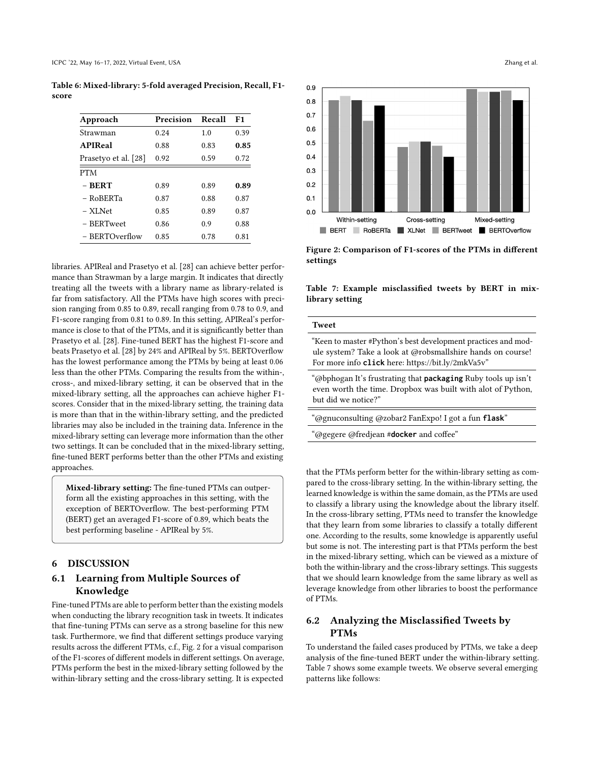| Approach             | Precision | Recall | F1   |
|----------------------|-----------|--------|------|
| Strawman             | 0.24      | 1.0    | 0.39 |
| <b>APIReal</b>       | 0.88      | 0.83   | 0.85 |
| Prasetyo et al. [28] | 0.92      | 0.59   | 0.72 |
| <b>PTM</b>           |           |        |      |
| $-$ BERT             | 0.89      | 0.89   | 0.89 |
| $-$ RoBERTa          | 0.87      | 0.88   | 0.87 |
| - XLNet              | 0.85      | 0.89   | 0.87 |
| $-$ BERTweet         | 0.86      | 0.9    | 0.88 |
| - BERTOverflow       | 0.85      | 0.78   | 0.81 |

Table 6: Mixed-library: 5-fold averaged Precision, Recall, F1 score

libraries. APIReal and Prasetyo et al. [28] can achieve better performance than Strawman by a large margin. It indicates that directly treating all the tweets with a library name as library-related is far from satisfactory. All the PTMs have high scores with precision ranging from 0.85 to 0.89, recall ranging from 0.78 to 0.9, and F1-score ranging from 0.81 to 0.89. In this setting, APIReal's performance is close to that of the PTMs, and it is significantly better than Prasetyo et al. [28]. Fine-tuned BERT has the highest F1-score and beats Prasetyo et al. [28] by 24% and APIReal by 5%. BERTOverflow has the lowest performance among the PTMs by being at least 0.06 less than the other PTMs. Comparing the results from the within-, cross-, and mixed-library setting, it can be observed that in the mixed-library setting, all the approaches can achieve higher F1 scores. Consider that in the mixed-library setting, the training data is more than that in the within-library setting, and the predicted libraries may also be included in the training data. Inference in the mixed-library setting can leverage more information than the other two settings. It can be concluded that in the mixed-library setting, fine-tuned BERT performs better than the other PTMs and existing approaches.

Mixed-library setting: The fine-tuned PTMs can outperform all the existing approaches in this setting, with the exception of BERTOverflow. The best-performing PTM (BERT) get an averaged F1-score of 0.89, which beats the best performing baseline - APIReal by 5%.

# 6 DISCUSSION

# 6.1 Learning from Multiple Sources of Knowledge

Fine-tuned PTMs are able to perform better than the existing models when conducting the library recognition task in tweets. It indicates that fine-tuning PTMs can serve as a strong baseline for this new task. Furthermore, we find that different settings produce varying results across the different PTMs, c.f., Fig. 2 for a visual comparison of the F1-scores of different models in different settings. On average, PTMs perform the best in the mixed-library setting followed by the within-library setting and the cross-library setting. It is expected



Figure 2: Comparison of F1-scores of the PTMs in different settings

Table 7: Example misclassified tweets by BERT in mixlibrary setting

#### Tweet

"Keen to master #Python's best development practices and module system? Take a look at @robsmallshire hands on course! For more info **click** here: https://bit.ly/2mkVa5v"

"@bphogan It's frustrating that **packaging** Ruby tools up isn't even worth the time. Dropbox was built with alot of Python, but did we notice?"

"@gnuconsulting @zobar2 FanExpo! I got a fun **flask**"

"@gegere @fredjean #**docker** and coffee"

that the PTMs perform better for the within-library setting as compared to the cross-library setting. In the within-library setting, the learned knowledge is within the same domain, as the PTMs are used to classify a library using the knowledge about the library itself. In the cross-library setting, PTMs need to transfer the knowledge that they learn from some libraries to classify a totally different one. According to the results, some knowledge is apparently useful but some is not. The interesting part is that PTMs perform the best in the mixed-library setting, which can be viewed as a mixture of both the within-library and the cross-library settings. This suggests that we should learn knowledge from the same library as well as leverage knowledge from other libraries to boost the performance of PTMs.

# 6.2 Analyzing the Misclassified Tweets by PTMs

To understand the failed cases produced by PTMs, we take a deep analysis of the fine-tuned BERT under the within-library setting. Table 7 shows some example tweets. We observe several emerging patterns like follows: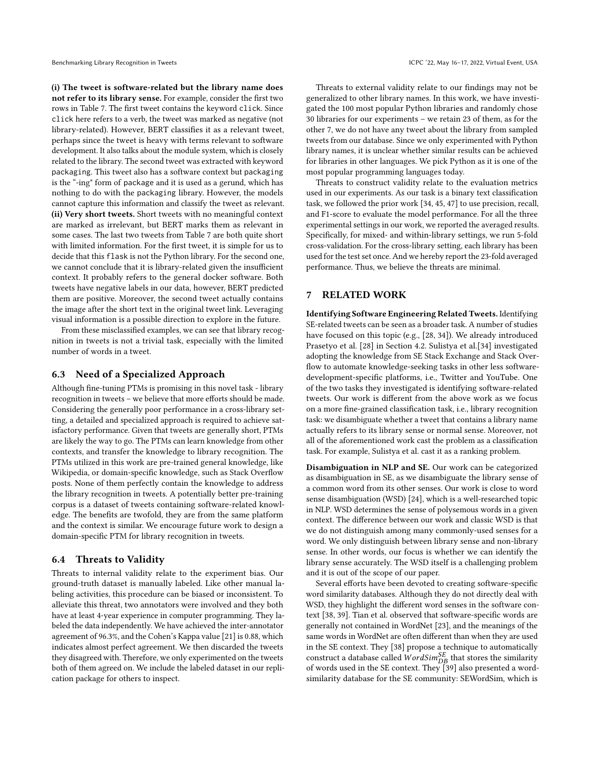(i) The tweet is software-related but the library name does not refer to its library sense. For example, consider the first two rows in Table 7. The first tweet contains the keyword click. Since click here refers to a verb, the tweet was marked as negative (not library-related). However, BERT classifies it as a relevant tweet, perhaps since the tweet is heavy with terms relevant to software development. It also talks about the module system, which is closely related to the library. The second tweet was extracted with keyword packaging. This tweet also has a software context but packaging is the "-ing" form of package and it is used as a gerund, which has nothing to do with the packaging library. However, the models cannot capture this information and classify the tweet as relevant. (ii) Very short tweets. Short tweets with no meaningful context are marked as irrelevant, but BERT marks them as relevant in some cases. The last two tweets from Table 7 are both quite short with limited information. For the first tweet, it is simple for us to decide that this flask is not the Python library. For the second one, we cannot conclude that it is library-related given the insufficient context. It probably refers to the general docker software. Both tweets have negative labels in our data, however, BERT predicted them are positive. Moreover, the second tweet actually contains the image after the short text in the original tweet link. Leveraging visual information is a possible direction to explore in the future.

From these misclassified examples, we can see that library recognition in tweets is not a trivial task, especially with the limited number of words in a tweet.

#### 6.3 Need of a Specialized Approach

Although fine-tuning PTMs is promising in this novel task - library recognition in tweets – we believe that more efforts should be made. Considering the generally poor performance in a cross-library setting, a detailed and specialized approach is required to achieve satisfactory performance. Given that tweets are generally short, PTMs are likely the way to go. The PTMs can learn knowledge from other contexts, and transfer the knowledge to library recognition. The PTMs utilized in this work are pre-trained general knowledge, like Wikipedia, or domain-specific knowledge, such as Stack Overflow posts. None of them perfectly contain the knowledge to address the library recognition in tweets. A potentially better pre-training corpus is a dataset of tweets containing software-related knowledge. The benefits are twofold, they are from the same platform and the context is similar. We encourage future work to design a domain-specific PTM for library recognition in tweets.

### 6.4 Threats to Validity

Threats to internal validity relate to the experiment bias. Our ground-truth dataset is manually labeled. Like other manual labeling activities, this procedure can be biased or inconsistent. To alleviate this threat, two annotators were involved and they both have at least 4-year experience in computer programming. They labeled the data independently. We have achieved the inter-annotator agreement of 96.3%, and the Cohen's Kappa value [21] is 0.88, which indicates almost perfect agreement. We then discarded the tweets they disagreed with. Therefore, we only experimented on the tweets both of them agreed on. We include the labeled dataset in our replication package for others to inspect.

Threats to external validity relate to our findings may not be generalized to other library names. In this work, we have investigated the 100 most popular Python libraries and randomly chose 30 libraries for our experiments – we retain 23 of them, as for the other 7, we do not have any tweet about the library from sampled tweets from our database. Since we only experimented with Python library names, it is unclear whether similar results can be achieved for libraries in other languages. We pick Python as it is one of the most popular programming languages today.

Threats to construct validity relate to the evaluation metrics used in our experiments. As our task is a binary text classification task, we followed the prior work [34, 45, 47] to use precision, recall, and F1-score to evaluate the model performance. For all the three experimental settings in our work, we reported the averaged results. Specifically, for mixed- and within-library settings, we run 5-fold cross-validation. For the cross-library setting, each library has been used for the test set once. And we hereby report the 23-fold averaged performance. Thus, we believe the threats are minimal.

#### 7 RELATED WORK

Identifying Software Engineering Related Tweets. Identifying SE-related tweets can be seen as a broader task. A number of studies have focused on this topic (e.g., [28, 34]). We already introduced Prasetyo et al. [28] in Section 4.2. Sulistya et al.[34] investigated adopting the knowledge from SE Stack Exchange and Stack Overflow to automate knowledge-seeking tasks in other less softwaredevelopment-specific platforms, i.e., Twitter and YouTube. One of the two tasks they investigated is identifying software-related tweets. Our work is different from the above work as we focus on a more fine-grained classification task, i.e., library recognition task: we disambiguate whether a tweet that contains a library name actually refers to its library sense or normal sense. Moreover, not all of the aforementioned work cast the problem as a classification task. For example, Sulistya et al. cast it as a ranking problem.

Disambiguation in NLP and SE. Our work can be categorized as disambiguation in SE, as we disambiguate the library sense of a common word from its other senses. Our work is close to word sense disambiguation (WSD) [24], which is a well-researched topic in NLP. WSD determines the sense of polysemous words in a given context. The difference between our work and classic WSD is that we do not distinguish among many commonly-used senses for a word. We only distinguish between library sense and non-library sense. In other words, our focus is whether we can identify the library sense accurately. The WSD itself is a challenging problem and it is out of the scope of our paper.

Several efforts have been devoted to creating software-specific word similarity databases. Although they do not directly deal with WSD, they highlight the different word senses in the software context [38, 39]. Tian et al. observed that software-specific words are generally not contained in WordNet [23], and the meanings of the same words in WordNet are often different than when they are used in the SE context. They [38] propose a technique to automatically construct a database called  $WordSim_{DB}^{SE}$  that stores the similarity of words used in the SE context. They [39] also presented a wordsimilarity database for the SE community: SEWordSim, which is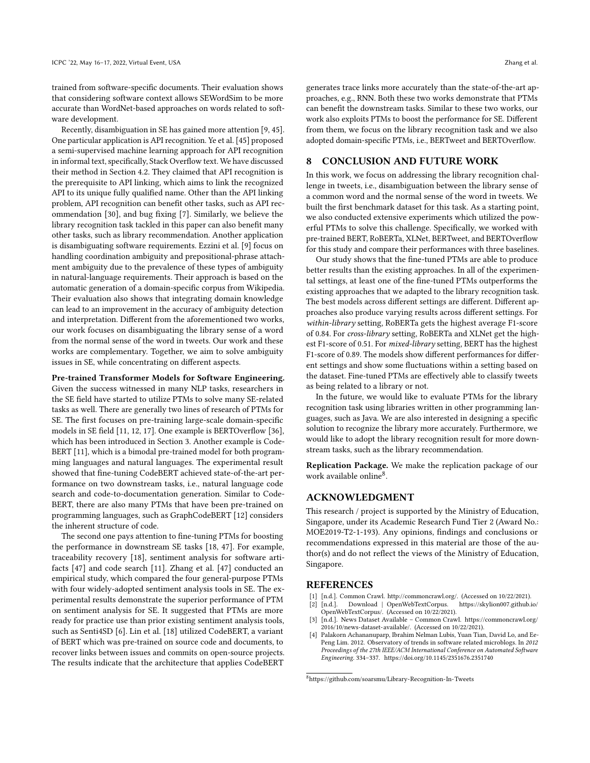trained from software-specific documents. Their evaluation shows that considering software context allows SEWordSim to be more accurate than WordNet-based approaches on words related to software development.

Recently, disambiguation in SE has gained more attention [9, 45]. One particular application is API recognition. Ye et al. [45] proposed a semi-supervised machine learning approach for API recognition in informal text, specifically, Stack Overflow text. We have discussed their method in Section 4.2. They claimed that API recognition is the prerequisite to API linking, which aims to link the recognized API to its unique fully qualified name. Other than the API linking problem, API recognition can benefit other tasks, such as API recommendation [30], and bug fixing [7]. Similarly, we believe the library recognition task tackled in this paper can also benefit many other tasks, such as library recommendation. Another application is disambiguating software requirements. Ezzini et al. [9] focus on handling coordination ambiguity and prepositional-phrase attachment ambiguity due to the prevalence of these types of ambiguity in natural-language requirements. Their approach is based on the automatic generation of a domain-specific corpus from Wikipedia. Their evaluation also shows that integrating domain knowledge can lead to an improvement in the accuracy of ambiguity detection and interpretation. Different from the aforementioned two works, our work focuses on disambiguating the library sense of a word from the normal sense of the word in tweets. Our work and these works are complementary. Together, we aim to solve ambiguity issues in SE, while concentrating on different aspects.

Pre-trained Transformer Models for Software Engineering. Given the success witnessed in many NLP tasks, researchers in the SE field have started to utilize PTMs to solve many SE-related tasks as well. There are generally two lines of research of PTMs for SE. The first focuses on pre-training large-scale domain-specific models in SE field [11, 12, 17]. One example is BERTOverflow [36], which has been introduced in Section 3. Another example is Code-BERT [11], which is a bimodal pre-trained model for both programming languages and natural languages. The experimental result showed that fine-tuning CodeBERT achieved state-of-the-art performance on two downstream tasks, i.e., natural language code search and code-to-documentation generation. Similar to Code-BERT, there are also many PTMs that have been pre-trained on programming languages, such as GraphCodeBERT [12] considers the inherent structure of code.

The second one pays attention to fine-tuning PTMs for boosting the performance in downstream SE tasks [18, 47]. For example, traceability recovery [18], sentiment analysis for software artifacts [47] and code search [11]. Zhang et al. [47] conducted an empirical study, which compared the four general-purpose PTMs with four widely-adopted sentiment analysis tools in SE. The experimental results demonstrate the superior performance of PTM on sentiment analysis for SE. It suggested that PTMs are more ready for practice use than prior existing sentiment analysis tools, such as Senti4SD [6]. Lin et al. [18] utilized CodeBERT, a variant of BERT which was pre-trained on source code and documents, to recover links between issues and commits on open-source projects. The results indicate that the architecture that applies CodeBERT

generates trace links more accurately than the state-of-the-art approaches, e.g., RNN. Both these two works demonstrate that PTMs can benefit the downstream tasks. Similar to these two works, our work also exploits PTMs to boost the performance for SE. Different from them, we focus on the library recognition task and we also adopted domain-specific PTMs, i.e., BERTweet and BERTOverflow.

#### 8 CONCLUSION AND FUTURE WORK

In this work, we focus on addressing the library recognition challenge in tweets, i.e., disambiguation between the library sense of a common word and the normal sense of the word in tweets. We built the first benchmark dataset for this task. As a starting point, we also conducted extensive experiments which utilized the powerful PTMs to solve this challenge. Specifically, we worked with pre-trained BERT, RoBERTa, XLNet, BERTweet, and BERTOverflow for this study and compare their performances with three baselines.

Our study shows that the fine-tuned PTMs are able to produce better results than the existing approaches. In all of the experimental settings, at least one of the fine-tuned PTMs outperforms the existing approaches that we adapted to the library recognition task. The best models across different settings are different. Different approaches also produce varying results across different settings. For within-library setting, RoBERTa gets the highest average F1-score of 0.84. For cross-library setting, RoBERTa and XLNet get the highest F1-score of 0.51. For mixed-library setting, BERT has the highest F1-score of 0.89. The models show different performances for different settings and show some fluctuations within a setting based on the dataset. Fine-tuned PTMs are effectively able to classify tweets as being related to a library or not.

In the future, we would like to evaluate PTMs for the library recognition task using libraries written in other programming languages, such as Java. We are also interested in designing a specific solution to recognize the library more accurately. Furthermore, we would like to adopt the library recognition result for more downstream tasks, such as the library recommendation.

Replication Package. We make the replication package of our work available online<sup>8</sup>.

### ACKNOWLEDGMENT

This research / project is supported by the Ministry of Education, Singapore, under its Academic Research Fund Tier 2 (Award No.: MOE2019-T2-1-193). Any opinions, findings and conclusions or recommendations expressed in this material are those of the author(s) and do not reflect the views of the Ministry of Education, Singapore.

#### **REFERENCES**

- [n.d.]. Common Crawl. http://commoncrawl.org/. (Accessed on 10/22/2021).
- [2] [n.d.]. Download | OpenWebTextCorpus. https://skylion007.github.io/ OpenWebTextCorpus/. (Accessed on 10/22/2021).
- [3] [n.d.]. News Dataset Available Common Crawl. https://commoncrawl.org/ 2016/10/news-dataset-available/. (Accessed on 10/22/2021).
- Palakorn Achananuparp, Ibrahim Nelman Lubis, Yuan Tian, David Lo, and Ee-Peng Lim. 2012. Observatory of trends in software related microblogs. In 2012 Proceedings of the 27th IEEE/ACM International Conference on Automated Software Engineering. 334–337. https://doi.org/10.1145/2351676.2351740

<sup>8</sup>https://github.com/soarsmu/Library-Recognition-In-Tweets